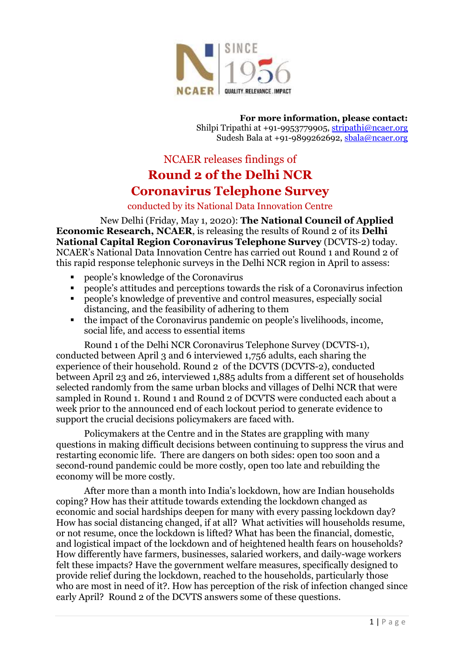

**For more information, please contact:** Shilpi Tripathi at +91-9953779905[, stripathi@ncaer.org](file:///C:/Users/praveen/AppData/Local/Microsoft/Windows/INetCache/Content.Outlook/WTPLAH0C/stripathi@ncaer.org) Sudesh Bala at +91-9899262692, [sbala@ncaer.org](mailto:sbala@ncaer.org)

# NCAER releases findings of **Round 2 of the Delhi NCR Coronavirus Telephone Survey**

conducted by its National Data Innovation Centre

New Delhi (Friday, May 1, 2020): **The National Council of Applied Economic Research, NCAER**, is releasing the results of Round 2 of its **Delhi National Capital Region Coronavirus Telephone Survey** (DCVTS-2) today. NCAER's National Data Innovation Centre has carried out Round 1 and Round 2 of this rapid response telephonic surveys in the Delhi NCR region in April to assess:

- people's knowledge of the Coronavirus
- people's attitudes and perceptions towards the risk of a Coronavirus infection
- people's knowledge of preventive and control measures, especially social distancing, and the feasibility of adhering to them
- the impact of the Coronavirus pandemic on people's livelihoods, income, social life, and access to essential items

Round 1 of the Delhi NCR Coronavirus Telephone Survey (DCVTS-1), conducted between April 3 and 6 interviewed 1,756 adults, each sharing the experience of their household. Round 2 of the DCVTS (DCVTS-2), conducted between April 23 and 26, interviewed 1,885 adults from a different set of households selected randomly from the same urban blocks and villages of Delhi NCR that were sampled in Round 1. Round 1 and Round 2 of DCVTS were conducted each about a week prior to the announced end of each lockout period to generate evidence to support the crucial decisions policymakers are faced with.

Policymakers at the Centre and in the States are grappling with many questions in making difficult decisions between continuing to suppress the virus and restarting economic life. There are dangers on both sides: open too soon and a second-round pandemic could be more costly, open too late and rebuilding the economy will be more costly.

After more than a month into India's lockdown, how are Indian households coping? How has their attitude towards extending the lockdown changed as economic and social hardships deepen for many with every passing lockdown day? How has social distancing changed, if at all? What activities will households resume, or not resume, once the lockdown is lifted? What has been the financial, domestic, and logistical impact of the lockdown and of heightened health fears on households? How differently have farmers, businesses, salaried workers, and daily-wage workers felt these impacts? Have the government welfare measures, specifically designed to provide relief during the lockdown, reached to the households, particularly those who are most in need of it?. How has perception of the risk of infection changed since early April? Round 2 of the DCVTS answers some of these questions.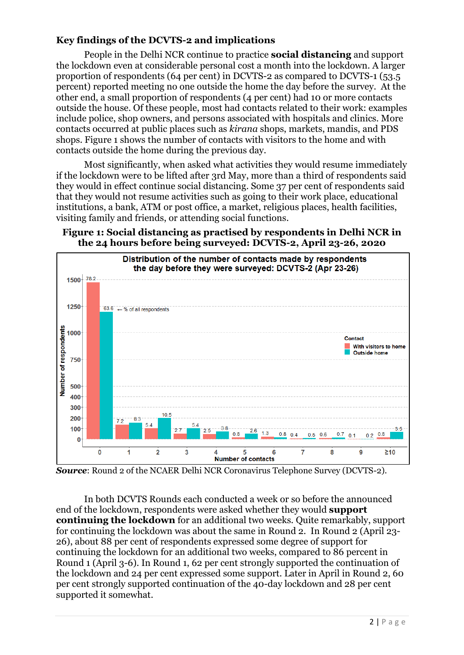# **Key findings of the DCVTS-2 and implications**

People in the Delhi NCR continue to practice **social distancing** and support the lockdown even at considerable personal cost a month into the lockdown. A larger proportion of respondents (64 per cent) in DCVTS-2 as compared to DCVTS-1 (53.5 percent) reported meeting no one outside the home the day before the survey. At the other end, a small proportion of respondents (4 per cent) had 10 or more contacts outside the house. Of these people, most had contacts related to their work: examples include police, shop owners, and persons associated with hospitals and clinics. More contacts occurred at public places such as *kirana* shops, markets, mandis, and PDS shops. Figure 1 shows the number of contacts with visitors to the home and with contacts outside the home during the previous day.

Most significantly, when asked what activities they would resume immediately if the lockdown were to be lifted after 3rd May, more than a third of respondents said they would in effect continue social distancing. Some 37 per cent of respondents said that they would not resume activities such as going to their work place, educational institutions, a bank, ATM or post office, a market, religious places, health facilities, visiting family and friends, or attending social functions.





*Source*: Round 2 of the NCAER Delhi NCR Coronavirus Telephone Survey (DCVTS-2).

In both DCVTS Rounds each conducted a week or so before the announced end of the lockdown, respondents were asked whether they would **support continuing the lockdown** for an additional two weeks. Quite remarkably, support for continuing the lockdown was about the same in Round 2. In Round 2 (April 23- 26), about 88 per cent of respondents expressed some degree of support for continuing the lockdown for an additional two weeks, compared to 86 percent in Round 1 (April 3-6). In Round 1, 62 per cent strongly supported the continuation of the lockdown and 24 per cent expressed some support. Later in April in Round 2, 60 per cent strongly supported continuation of the 40-day lockdown and 28 per cent supported it somewhat.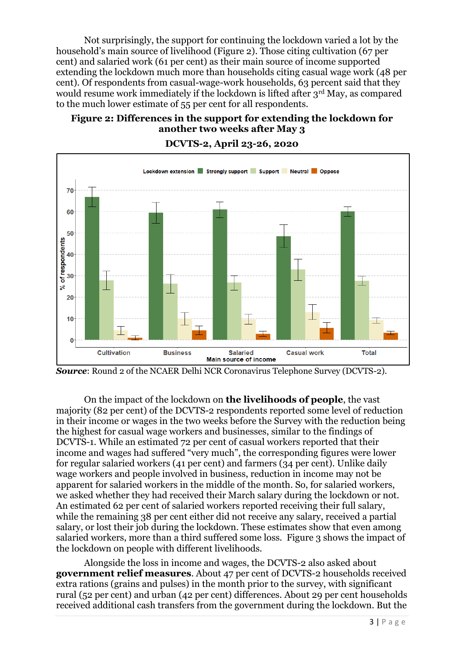Not surprisingly, the support for continuing the lockdown varied a lot by the household's main source of livelihood (Figure 2). Those citing cultivation (67 per cent) and salaried work (61 per cent) as their main source of income supported extending the lockdown much more than households citing casual wage work (48 per cent). Of respondents from casual-wage-work households, 63 percent said that they would resume work immediately if the lockdown is lifted after 3rd May, as compared to the much lower estimate of 55 per cent for all respondents.

# **Figure 2: Differences in the support for extending the lockdown for another two weeks after May 3**



# **DCVTS-2, April 23-26, 2020**

On the impact of the lockdown on **the livelihoods of people**, the vast majority (82 per cent) of the DCVTS-2 respondents reported some level of reduction in their income or wages in the two weeks before the Survey with the reduction being the highest for casual wage workers and businesses, similar to the findings of DCVTS-1. While an estimated 72 per cent of casual workers reported that their income and wages had suffered "very much", the corresponding figures were lower for regular salaried workers (41 per cent) and farmers (34 per cent). Unlike daily wage workers and people involved in business, reduction in income may not be apparent for salaried workers in the middle of the month. So, for salaried workers, we asked whether they had received their March salary during the lockdown or not. An estimated 62 per cent of salaried workers reported receiving their full salary, while the remaining 38 per cent either did not receive any salary, received a partial salary, or lost their job during the lockdown. These estimates show that even among salaried workers, more than a third suffered some loss. Figure 3 shows the impact of the lockdown on people with different livelihoods.

Alongside the loss in income and wages, the DCVTS-2 also asked about **government relief measures**. About 47 per cent of DCVTS-2 households received extra rations (grains and pulses) in the month prior to the survey, with significant rural (52 per cent) and urban (42 per cent) differences. About 29 per cent households received additional cash transfers from the government during the lockdown. But the

*Source*: Round 2 of the NCAER Delhi NCR Coronavirus Telephone Survey (DCVTS-2).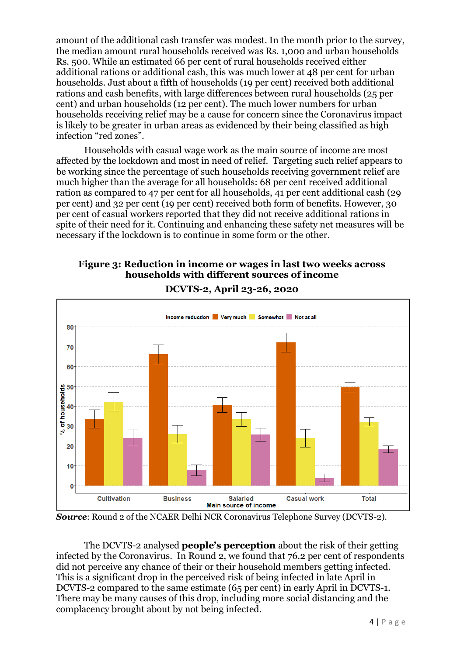amount of the additional cash transfer was modest. In the month prior to the survey, the median amount rural households received was Rs. 1,000 and urban households Rs. 500. While an estimated 66 per cent of rural households received either additional rations or additional cash, this was much lower at 48 per cent for urban households. Just about a fifth of households (19 per cent) received both additional rations and cash benefits, with large differences between rural households (25 per cent) and urban households (12 per cent). The much lower numbers for urban households receiving relief may be a cause for concern since the Coronavirus impact is likely to be greater in urban areas as evidenced by their being classified as high infection "red zones".

Households with casual wage work as the main source of income are most affected by the lockdown and most in need of relief. Targeting such relief appears to be working since the percentage of such households receiving government relief are much higher than the average for all households: 68 per cent received additional ration as compared to 47 per cent for all households, 41 per cent additional cash (29 per cent) and 32 per cent (19 per cent) received both form of benefits. However, 30 per cent of casual workers reported that they did not receive additional rations in spite of their need for it. Continuing and enhancing these safety net measures will be necessary if the lockdown is to continue in some form or the other.

# **Figure 3: Reduction in income or wages in last two weeks across households with different sources of income**



**DCVTS-2, April 23-26, 2020**

*Source*: Round 2 of the NCAER Delhi NCR Coronavirus Telephone Survey (DCVTS-2).

The DCVTS-2 analysed **people's perception** about the risk of their getting infected by the Coronavirus. In Round 2, we found that 76.2 per cent of respondents did not perceive any chance of their or their household members getting infected. This is a significant drop in the perceived risk of being infected in late April in DCVTS-2 compared to the same estimate (65 per cent) in early April in DCVTS-1. There may be many causes of this drop, including more social distancing and the complacency brought about by not being infected.